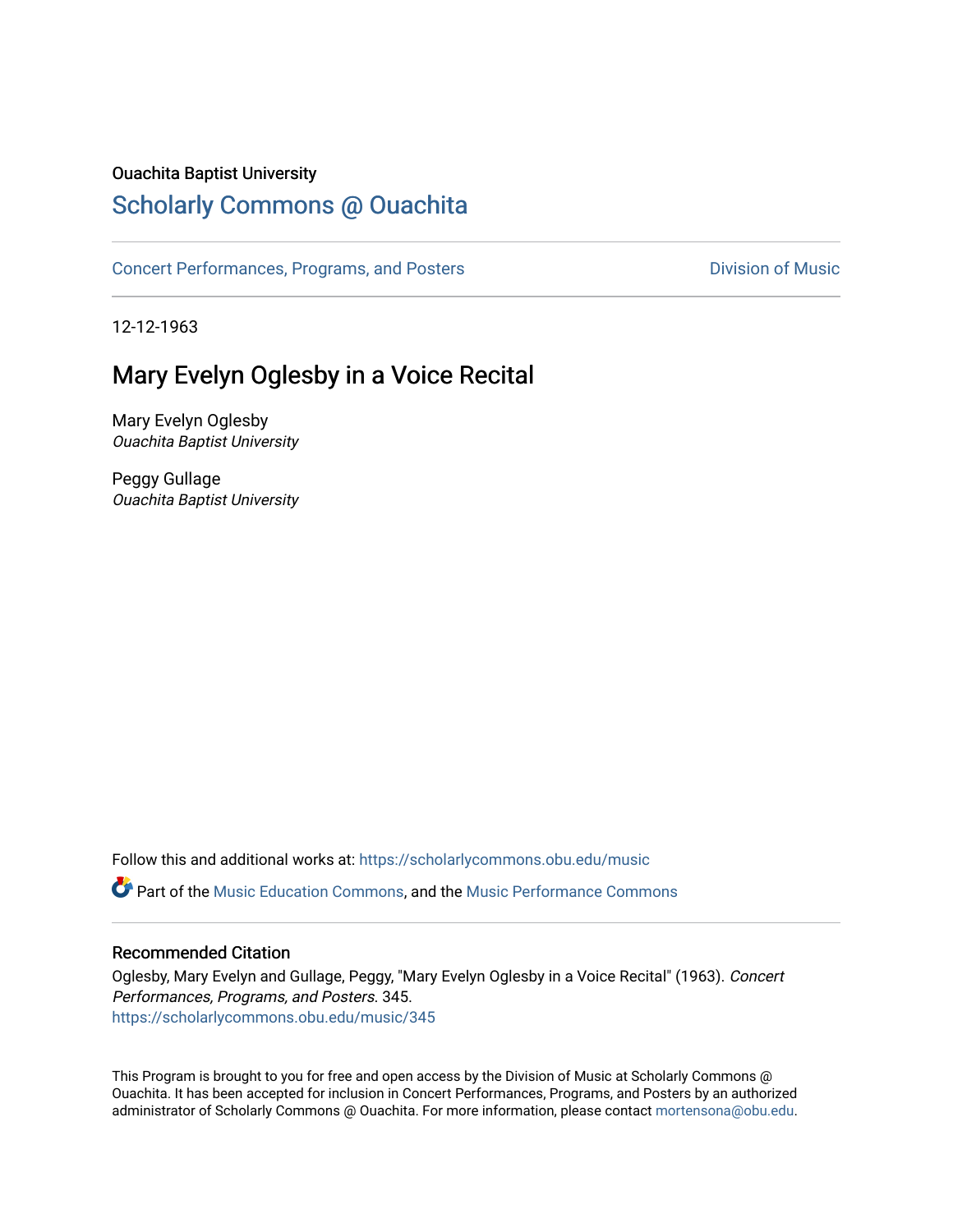### Ouachita Baptist University

## [Scholarly Commons @ Ouachita](https://scholarlycommons.obu.edu/)

[Concert Performances, Programs, and Posters](https://scholarlycommons.obu.edu/music) **Division of Music** Division of Music

12-12-1963

# Mary Evelyn Oglesby in a Voice Recital

Mary Evelyn Oglesby Ouachita Baptist University

Peggy Gullage Ouachita Baptist University

Follow this and additional works at: [https://scholarlycommons.obu.edu/music](https://scholarlycommons.obu.edu/music?utm_source=scholarlycommons.obu.edu%2Fmusic%2F345&utm_medium=PDF&utm_campaign=PDFCoverPages) 

Part of the [Music Education Commons,](http://network.bepress.com/hgg/discipline/1246?utm_source=scholarlycommons.obu.edu%2Fmusic%2F345&utm_medium=PDF&utm_campaign=PDFCoverPages) and the [Music Performance Commons](http://network.bepress.com/hgg/discipline/1128?utm_source=scholarlycommons.obu.edu%2Fmusic%2F345&utm_medium=PDF&utm_campaign=PDFCoverPages) 

#### Recommended Citation

Oglesby, Mary Evelyn and Gullage, Peggy, "Mary Evelyn Oglesby in a Voice Recital" (1963). Concert Performances, Programs, and Posters. 345. [https://scholarlycommons.obu.edu/music/345](https://scholarlycommons.obu.edu/music/345?utm_source=scholarlycommons.obu.edu%2Fmusic%2F345&utm_medium=PDF&utm_campaign=PDFCoverPages) 

This Program is brought to you for free and open access by the Division of Music at Scholarly Commons @ Ouachita. It has been accepted for inclusion in Concert Performances, Programs, and Posters by an authorized administrator of Scholarly Commons @ Ouachita. For more information, please contact [mortensona@obu.edu](mailto:mortensona@obu.edu).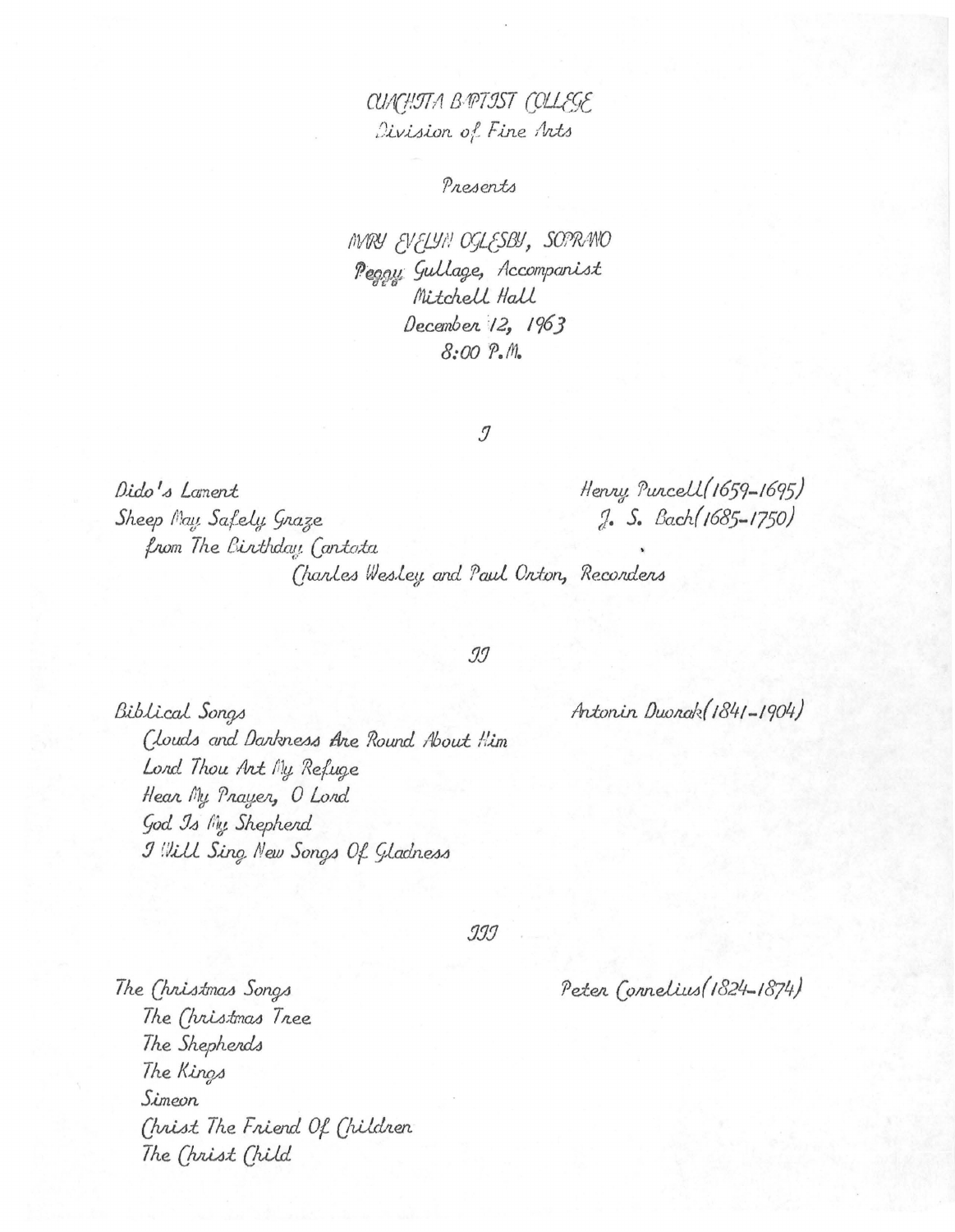## CUACHITA BAPTIST COLLEGE Division of Fine Arts

### Presents

MAY EVELYN OGLESBY, SOPRANO Peggy Gullage, Accompanist Mitchell Hall December 12, 1963  $8:00P M$ 

 $\mathcal I$ 

Henry Purcell (1659-1695) Dido's Lament  $1.$  S. Bach(1685-1750) Sheep May Safely Graze from The Birthday Cantota Charles Wesley and Paul Orton, Recorders

### 99

Biblical Songs (louds and Darkness Are Round About Him Lond Thou Art My Refuge Hear My Prayer, O Lord God Is My Shepherd I Will Sing New Songs Of Gladness

999

Peter (ornelius (1824-1874)

The Christmas Songs The Christmas Tree The Shepherds The Kings Simeon Christ The Friend Of Children The Christ Child

Antonin Duonak (1841-1904)